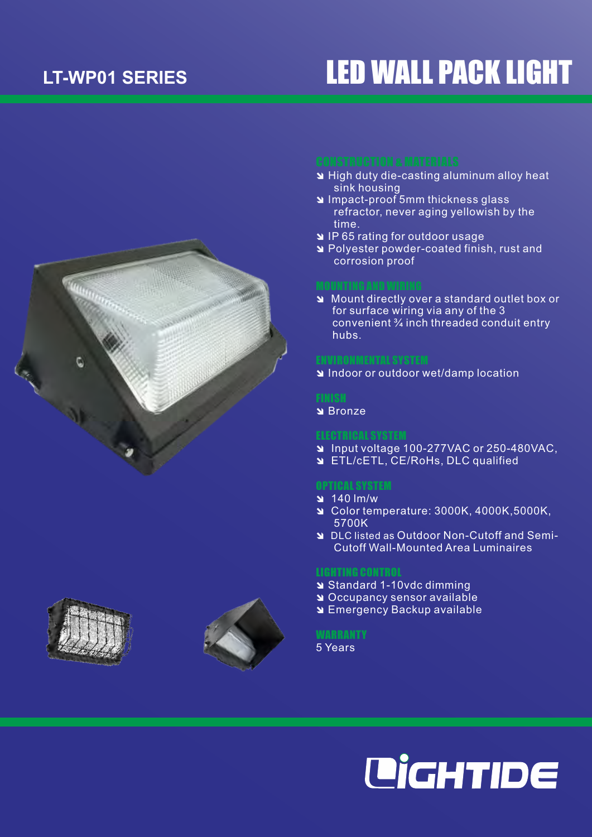# LT-WP01 SERIES **LED WALL PACK LIGHT**



- **N** High duty die-casting aluminum alloy heat sink housing
- **N** Impact-proof 5mm thickness glass refractor, never aging yellowish by the time.
- **N** IP 65 rating for outdoor usage
- î Polyester powder-coated finish, rust and corrosion proof

î Mount directly over a standard outlet box or for surface wiring via any of the 3 convenient ¾ inch threaded conduit entry hubs.

**N** Indoor or outdoor wet/damp location

## **FINISH**

**N** Bronze

- î Input voltage 100-277VAC or 250-480VAC,
- **ETL/cETL, CE/RoHs, DLC qualified**

## OPTICAL SYSTEM

- $\frac{140}{m/w}$
- î Color temperature: 3000K, 4000K,5000K, 5700K
- î DLC listed as Outdoor Non-Cutoff and Semi-Cutoff Wall-Mounted Area Luminaires

## LIGHTING CONTROL

- î Standard 1-10vdc dimming
- **N** Occupancy sensor available
- **N** Emergency Backup available

### **WARRANTY**

5 Years